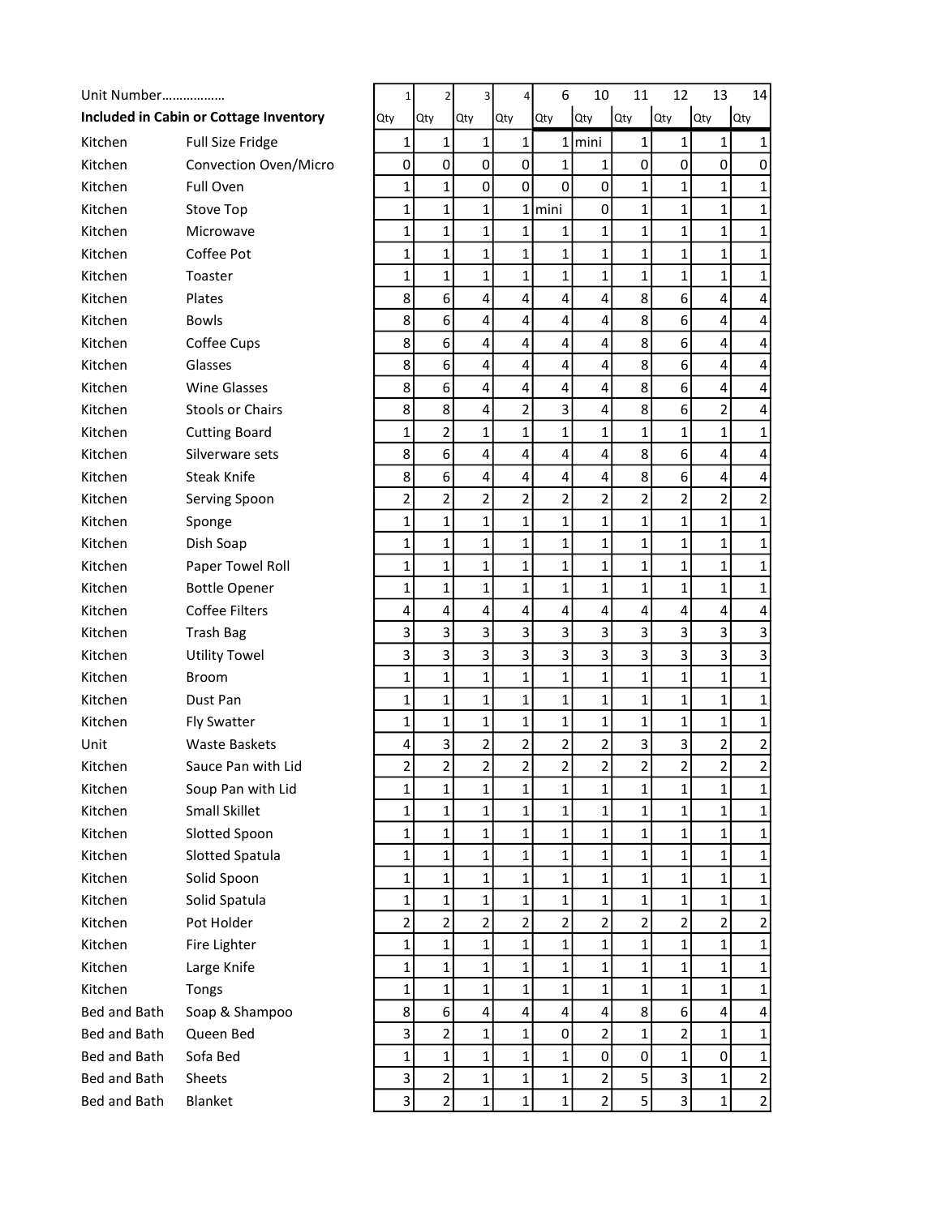| Unit Number  |                                               | 1                       |            | 2                       | 3              | 4              | 6              | 10                      | 11           | 12                      | 13                      | 14                      |
|--------------|-----------------------------------------------|-------------------------|------------|-------------------------|----------------|----------------|----------------|-------------------------|--------------|-------------------------|-------------------------|-------------------------|
|              | <b>Included in Cabin or Cottage Inventory</b> | Qty                     | <b>Qty</b> |                         | Qty            | Qty            | Qty            | Qty                     | Qty          | Qty                     | Qty                     | <b>Qty</b>              |
| Kitchen      | <b>Full Size Fridge</b>                       | 1                       |            | 1                       | 1              | $\mathbf{1}$   |                | $1$  mini               | 1            | 1                       | 1                       | 1                       |
| Kitchen      | Convection Oven/Micro                         | 0                       |            | $\mathbf 0$             | $\mathbf 0$    | 0              | $\mathbf{1}$   | $\mathbf{1}$            | $\pmb{0}$    | $\mathsf 0$             | $\mathsf 0$             | $\pmb{0}$               |
| Kitchen      | Full Oven                                     | 1                       |            | $\mathbf{1}$            | $\mathbf 0$    | 0              | 0              | $\pmb{0}$               | $\mathbf 1$  | $\mathbf{1}$            | $\mathbf{1}$            | 1                       |
| Kitchen      | <b>Stove Top</b>                              | 1                       |            | 1                       | 1              | $\mathbf{1}$   | mini           | $\pmb{0}$               | 1            | $\mathbf{1}$            | 1                       | 1                       |
| Kitchen      | Microwave                                     | 1                       |            | 1                       | $\mathbf{1}$   | $\mathbf{1}$   | 1              | $\mathbf{1}$            | 1            | $\mathbf{1}$            | $\mathbf{1}$            | 1                       |
| Kitchen      | Coffee Pot                                    | $\mathbf 1$             |            | $\mathbf 1$             | 1              | $\mathbf{1}$   | 1              | $\mathbf{1}$            | $\mathbf 1$  | 1                       | $\mathbf{1}$            | 1                       |
| Kitchen      | Toaster                                       | $\mathbf{1}$            |            | 1                       | 1              | $\mathbf{1}$   | 1              | $\mathbf{1}$            | 1            | $\mathbf{1}$            | $\mathbf{1}$            | 1                       |
| Kitchen      | Plates                                        | 8                       |            | 6                       | 4              | 4              | 4              | $\overline{\mathbf{r}}$ | 8            | 6                       | 4                       | 4                       |
| Kitchen      | <b>Bowls</b>                                  | 8                       |            | 6                       | 4              | 4              | 4              | 4                       | 8            | 6                       | 4                       | 4                       |
| Kitchen      | Coffee Cups                                   | 8                       |            | 6                       | 4              | 4              | 4              | 4                       | 8            | 6                       | 4                       | 4                       |
| Kitchen      | Glasses                                       | 8                       |            | 6                       | 4              | 4              | 4              | 4                       | 8            | 6                       | 4                       | 4                       |
| Kitchen      | <b>Wine Glasses</b>                           | 8                       |            | 6                       | 4              | 4              | 4              | $\overline{4}$          | 8            | 6                       | $\overline{\mathbf{4}}$ | 4                       |
| Kitchen      | Stools or Chairs                              | 8                       |            | 8                       | 4              | $\overline{2}$ | 3              | $\overline{\mathbf{r}}$ | 8            | 6                       | 2                       | 4                       |
| Kitchen      | <b>Cutting Board</b>                          | $\mathbf{1}$            |            | $\overline{2}$          | $\mathbf{1}$   | $\mathbf{1}$   | $\mathbf 1$    | $\mathbf{1}$            | $\mathbf 1$  | $\mathbf{1}$            | $\mathbf{1}$            | 1                       |
| Kitchen      | Silverware sets                               | 8                       |            | 6                       | 4              | 4              | 4              | 4                       | 8            | 6                       | 4                       | 4                       |
| Kitchen      | <b>Steak Knife</b>                            | 8                       |            | 6                       | 4              | 4              | 4              | 4                       | 8            | 6                       | $\overline{4}$          | 4                       |
| Kitchen      | Serving Spoon                                 | $\overline{2}$          |            | $\overline{2}$          | $\overline{2}$ | $\overline{2}$ | $\mathbf 2$    | $\overline{2}$          | 2            | $\overline{2}$          | $\overline{2}$          | $\overline{\mathbf{c}}$ |
| Kitchen      | Sponge                                        | $\mathbf 1$             |            | $\mathbf 1$             | $\mathbf{1}$   | $\mathbf{1}$   | 1              | $\mathbf{1}$            | 1            | $\mathbf{1}$            | $\mathbf{1}$            | 1                       |
| Kitchen      | Dish Soap                                     | $\mathbf 1$             |            | 1                       | 1              | $\mathbf{1}$   | $\mathbf 1$    | $\mathbf{1}$            | 1            | 1                       | $\mathbf{1}$            | 1                       |
| Kitchen      | Paper Towel Roll                              | $\mathbf{1}$            |            | $\mathbf{1}$            | $\mathbf{1}$   | $\mathbf{1}$   | 1              | $\mathbf 1$             | $\mathbf 1$  | $\mathbf 1$             | $\mathbf{1}$            | 1                       |
| Kitchen      | <b>Bottle Opener</b>                          | $\mathbf{1}$            |            | $\mathbf{1}$            | $\mathbf{1}$   | $\mathbf 1$    | $\mathbf 1$    | $\mathbf{1}$            | $\mathbf{1}$ | $\mathbf 1$             | $\mathbf{1}$            | 1                       |
| Kitchen      | <b>Coffee Filters</b>                         | 4                       |            | $\overline{\mathbf{4}}$ | 4              | 4              | 4              | 4                       | 4            | 4                       | $\overline{4}$          | 4                       |
| Kitchen      | <b>Trash Bag</b>                              | $\overline{\mathbf{3}}$ |            | 3                       | 3              | 3              | 3              | $\overline{\mathbf{3}}$ | 3            | 3                       | 3                       | 3                       |
| Kitchen      | <b>Utility Towel</b>                          | $\overline{\mathbf{3}}$ |            | 3                       | 3              | 3              | 3              | $\overline{\mathbf{3}}$ | 3            | 3                       | 3                       | 3                       |
| Kitchen      | <b>Broom</b>                                  | $\mathbf 1$             |            | $\mathbf 1$             | 1              | $\mathbf{1}$   | $\mathbf 1$    | $\mathbf{1}$            | $\mathbf 1$  | 1                       | $\mathbf{1}$            | 1                       |
| Kitchen      | Dust Pan                                      | 1                       |            | 1                       | $\mathbf 1$    | $\mathbf{1}$   | $\mathbf 1$    | $\mathbf{1}$            | 1            | $\mathbf{1}$            | $\mathbf{1}$            | 1                       |
| Kitchen      | <b>Fly Swatter</b>                            | $\mathbf{1}$            |            | $\mathbf 1$             | $\mathbf{1}$   | $\mathbf 1$    | $\mathbf 1$    | $\mathbf{1}$            | $\mathbf 1$  | $\mathbf{1}$            | $\mathbf{1}$            | 1                       |
| Unit         | <b>Waste Baskets</b>                          | 4                       |            | 3                       | $\overline{c}$ | $\mathbf 2$    | $\mathbf 2$    | $\overline{\mathbf{c}}$ | 3            | 3                       | 2                       | $\overline{\mathbf{c}}$ |
| Kitchen      | Sauce Pan with Lid                            | $\overline{2}$          |            | 2                       | $\overline{2}$ | $\overline{2}$ | $\overline{2}$ | $\overline{2}$          | 2            | $\overline{2}$          | $\overline{2}$          | $\overline{2}$          |
| Kitchen      | Soup Pan with Lid                             | 1                       |            | 1                       | $\mathbf{1}$   | 1              | 1              | 1                       | 1            | 1                       | 1                       | 1                       |
| Kitchen      | <b>Small Skillet</b>                          | $\mathbf 1$             |            | 1                       | 1              | $\mathbf{1}$   | 1              | $\mathbf{1}$            | 1            | $\mathbf{1}$            | $\mathbf{1}$            | $\mathbf 1$             |
| Kitchen      | Slotted Spoon                                 | $\mathbf 1$             |            | 1                       | $\mathbf 1$    | $\mathbf{1}$   | 1              | $\mathbf{1}$            | 1            | $\mathbf{1}$            | $\mathbf{1}$            | 1                       |
| Kitchen      | Slotted Spatula                               | $\mathbf{1}$            |            | $\mathbf{1}$            | 1              | $\mathbf{1}$   | 1              | $\mathbf{1}$            | $\mathbf 1$  | $\mathbf{1}$            | $\mathbf{1}$            | $\mathbf 1$             |
| Kitchen      | Solid Spoon                                   | $\mathbf{1}$            |            | 1                       | $\mathbf 1$    | $\mathbf{1}$   | 1              | $\mathbf{1}$            | $\mathbf 1$  | $\mathbf{1}$            | $\mathbf{1}$            | $\mathbf 1$             |
| Kitchen      | Solid Spatula                                 | $\mathbf{1}$            |            | 1                       | 1              | $\mathbf{1}$   | 1              | $\mathbf{1}$            | 1            | 1                       | 1                       | 1                       |
| Kitchen      | Pot Holder                                    | $\overline{2}$          |            | $\overline{2}$          | $\overline{2}$ | $\overline{2}$ | 2              | $\overline{2}$          | 2            | $\overline{2}$          | $\overline{2}$          | $\overline{2}$          |
| Kitchen      | Fire Lighter                                  | $\mathbf{1}$            |            | $\mathbf{1}$            | $\mathbf{1}$   | $\mathbf{1}$   | 1              | $\mathbf{1}$            | 1            | $\mathbf{1}$            | $\mathbf{1}$            | $\mathbf 1$             |
| Kitchen      | Large Knife                                   | 1                       |            | $\mathbf{1}$            | $\mathbf{1}$   | $\mathbf{1}$   | 1              | $\mathbf{1}$            | 1            | $\mathbf{1}$            | $\mathbf{1}$            | $\mathbf 1$             |
| Kitchen      | Tongs                                         | 1                       |            | $\mathbf 1$             | $\mathbf 1$    | $\mathbf{1}$   | 1              | $\mathbf 1$             | $\mathbf 1$  | $\mathbf{1}$            | $\mathbf{1}$            | $\mathbf 1$             |
| Bed and Bath | Soap & Shampoo                                | 8                       |            | 6                       | 4              | 4              | 4              | 4                       | 8            | 6                       | 4                       | 4                       |
| Bed and Bath | Queen Bed                                     | $\overline{3}$          |            | $\overline{2}$          | $1\vert$       | $\mathbf{1}$   | 0              | $\overline{2}$          | 1            | $\overline{2}$          | $\mathbf{1}$            | $\mathbf 1$             |
| Bed and Bath | Sofa Bed                                      | $\mathbf{1}$            |            | $\mathbf 1$             | $\mathbf{1}$   | $\mathbf{1}$   | 1              | $\mathsf{O}\xspace$     | $\pmb{0}$    | $\mathbf{1}$            | $\pmb{0}$               | $\mathbf 1$             |
| Bed and Bath | Sheets                                        | $\overline{\mathbf{3}}$ |            | $\overline{\mathbf{c}}$ | $\mathbf{1}$   | $\mathbf 1$    | $\mathbf 1$    | $\overline{2}$          | 5            | $\overline{\mathbf{3}}$ | $\mathbf{1}$            | $\overline{2}$          |
| Bed and Bath | Blanket                                       | $\overline{3}$          |            | $\overline{2}$          | $\mathbf{1}$   | $\mathbf 1$    | $\mathbf 1$    | $\overline{2}$          | 5            | $\overline{\mathbf{3}}$ | $\mathbf{1}$            | $\overline{2}$          |